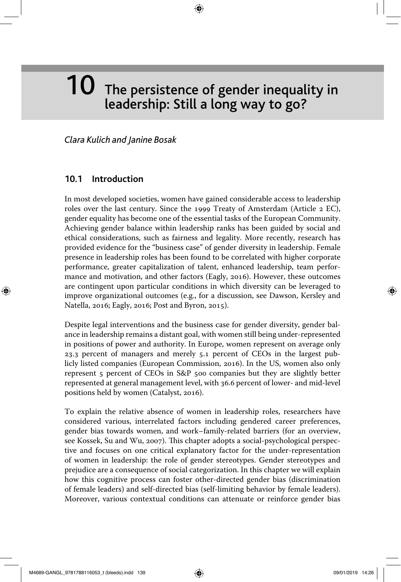# $10$  The persistence of gender inequality in leadership: Still a long way to go?

# *Clara Kulich and Janine Bosak*

# **10.1 Introduction**

◈

In most developed societies, women have gained considerable access to leadership roles over the last century. Since the 1999 Treaty of Amsterdam (Article 2 EC), gender equality has become one of the essential tasks of the European Community. Achieving gender balance within leadership ranks has been guided by social and ethical considerations, such as fairness and legality. More recently, research has provided evidence for the "business case" of gender diversity in leadership. Female presence in leadership roles has been found to be correlated with higher corporate performance, greater capitalization of talent, enhanced leadership, team performance and motivation, and other factors (Eagly, 2016). However, these outcomes are contingent upon particular conditions in which diversity can be leveraged to improve organizational outcomes (e.g., for a discussion, see Dawson, Kersley and Natella, 2016; Eagly, 2016; Post and Byron, 2015).

Despite legal interventions and the business case for gender diversity, gender balance in leadership remains a distant goal, with women still being under-represented in positions of power and authority. In Europe, women represent on average only 23.3 percent of managers and merely 5.1 percent of CEOs in the largest publicly listed companies (European Commission, 2016). In the US, women also only represent 5 percent of CEOs in S&P 500 companies but they are slightly better represented at general management level, with 36.6 percent of lower- and mid-level positions held by women (Catalyst, 2016).

To explain the relative absence of women in leadership roles, researchers have considered various, interrelated factors including gendered career preferences, gender bias towards women, and work–family-related barriers (for an overview, see Kossek, Su and Wu, 2007). This chapter adopts a social-psychological perspective and focuses on one critical explanatory factor for the under-representation of women in leadership: the role of gender stereotypes. Gender stereotypes and prejudice are a consequence of social categorization. In this chapter we will explain how this cognitive process can foster other-directed gender bias (discrimination of female leaders) and self-directed bias (self-limiting behavior by female leaders). Moreover, various contextual conditions can attenuate or reinforce gender bias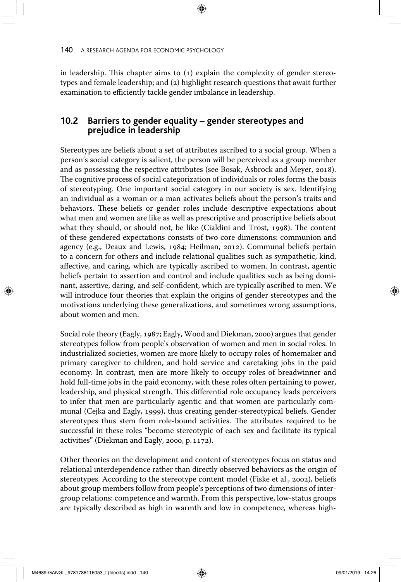in leadership. This chapter aims to  $(i)$  explain the complexity of gender stereotypes and female leadership; and (2) highlight research questions that await further examination to efficiently tackle gender imbalance in leadership.

# **10.2 Barriers to gender equality – gender stereotypes and prejudice in leadership**

Stereotypes are beliefs about a set of attributes ascribed to a social group. When a person's social category is salient, the person will be perceived as a group member and as possessing the respective attributes (see Bosak, Asbrock and Meyer, 2018). The cognitive process of social categorization of individuals or roles forms the basis of stereotyping. One important social category in our society is sex. Identifying an individual as a woman or a man activates beliefs about the person's traits and behaviors. These beliefs or gender roles include descriptive expectations about what men and women are like as well as prescriptive and proscriptive beliefs about what they should, or should not, be like (Cialdini and Trost, 1998). The content of these gendered expectations consists of two core dimensions: communion and agency (e.g., Deaux and Lewis, 1984; Heilman, 2012). Communal beliefs pertain to a concern for others and include relational qualities such as sympathetic, kind, affective, and caring, which are typically ascribed to women. In contrast, agentic beliefs pertain to assertion and control and include qualities such as being dominant, assertive, daring, and self-confident, which are typically ascribed to men. We will introduce four theories that explain the origins of gender stereotypes and the motivations underlying these generalizations, and sometimes wrong assumptions, about women and men.

Social role theory (Eagly, 1987; Eagly, Wood and Diekman, 2000) argues that gender stereotypes follow from people's observation of women and men in social roles. In industrialized societies, women are more likely to occupy roles of homemaker and primary caregiver to children, and hold service and caretaking jobs in the paid economy. In contrast, men are more likely to occupy roles of breadwinner and hold full-time jobs in the paid economy, with these roles often pertaining to power, leadership, and physical strength. This differential role occupancy leads perceivers to infer that men are particularly agentic and that women are particularly communal (Cejka and Eagly, 1999), thus creating gender-stereotypical beliefs. Gender stereotypes thus stem from role-bound activities. The attributes required to be successful in these roles "become stereotypic of each sex and facilitate its typical activities" (Diekman and Eagly, 2000, p. 1172).

Other theories on the development and content of stereotypes focus on status and relational interdependence rather than directly observed behaviors as the origin of stereotypes. According to the stereotype content model (Fiske et al., 2002), beliefs about group members follow from people's perceptions of two dimensions of intergroup relations: competence and warmth. From this perspective, low-status groups are typically described as high in warmth and low in competence, whereas high-

M4689-GANGL\_9781788116053\_t (bleeds).indd 140 **09/01/2019 14:26** 09/01/2019 14:26

◈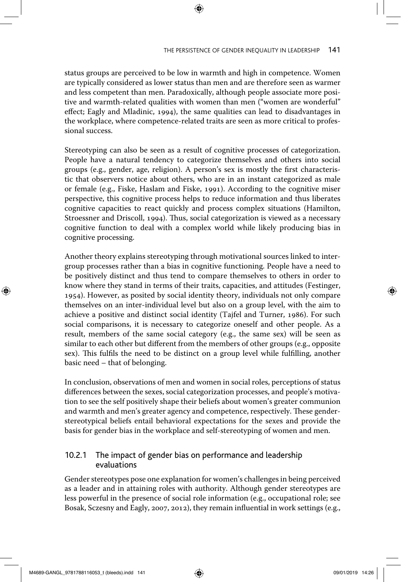status groups are perceived to be low in warmth and high in competence. Women are typically considered as lower status than men and are therefore seen as warmer and less competent than men. Paradoxically, although people associate more positive and warmth-related qualities with women than men ("women are wonderful" effect; Eagly and Mladinic, 1994), the same qualities can lead to disadvantages in the workplace, where competence-related traits are seen as more critical to professional success.

⊕

Stereotyping can also be seen as a result of cognitive processes of categorization. People have a natural tendency to categorize themselves and others into social groups (e.g., gender, age, religion). A person's sex is mostly the first characteristic that observers notice about others, who are in an instant categorized as male or female (e.g., Fiske, Haslam and Fiske, 1991). According to the cognitive miser perspective, this cognitive process helps to reduce information and thus liberates cognitive capacities to react quickly and process complex situations (Hamilton, Stroessner and Driscoll, 1994). Thus, social categorization is viewed as a necessary cognitive function to deal with a complex world while likely producing bias in cognitive processing.

Another theory explains stereotyping through motivational sources linked to intergroup processes rather than a bias in cognitive functioning. People have a need to be positively distinct and thus tend to compare themselves to others in order to know where they stand in terms of their traits, capacities, and attitudes (Festinger, 1954). However, as posited by social identity theory, individuals not only compare themselves on an inter-individual level but also on a group level, with the aim to achieve a positive and distinct social identity (Tajfel and Turner, 1986). For such social comparisons, it is necessary to categorize oneself and other people. As a result, members of the same social category (e.g., the same sex) will be seen as similar to each other but different from the members of other groups (e.g., opposite sex). This fulfils the need to be distinct on a group level while fulfilling, another basic need – that of belonging.

In conclusion, observations of men and women in social roles, perceptions of status differences between the sexes, social categorization processes, and people's motivation to see the self positively shape their beliefs about women's greater communion and warmth and men's greater agency and competence, respectively. These genderstereotypical beliefs entail behavioral expectations for the sexes and provide the basis for gender bias in the workplace and self-stereotyping of women and men.

# 10.2.1 The impact of gender bias on performance and leadership evaluations

Gender stereotypes pose one explanation for women's challenges in being perceived as a leader and in attaining roles with authority. Although gender stereotypes are less powerful in the presence of social role information (e.g., occupational role; see Bosak, Sczesny and Eagly, 2007, 2012), they remain influential in work settings (e.g.,

↔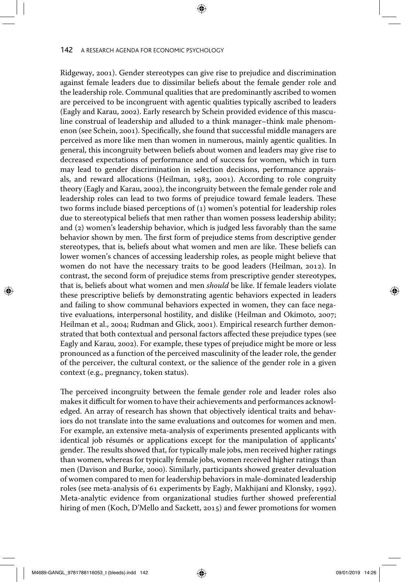Ridgeway, 2001). Gender stereotypes can give rise to prejudice and discrimination against female leaders due to dissimilar beliefs about the female gender role and the leadership role. Communal qualities that are predominantly ascribed to women are perceived to be incongruent with agentic qualities typically ascribed to leaders (Eagly and Karau, 2002). Early research by Schein provided evidence of this masculine construal of leadership and alluded to a think manager–think male phenomenon (see Schein, 2001). Specifically, she found that successful middle managers are perceived as more like men than women in numerous, mainly agentic qualities. In general, this incongruity between beliefs about women and leaders may give rise to decreased expectations of performance and of success for women, which in turn may lead to gender discrimination in selection decisions, performance appraisals, and reward allocations (Heilman, 1983, 2001). According to role congruity theory (Eagly and Karau, 2002), the incongruity between the female gender role and leadership roles can lead to two forms of prejudice toward female leaders. These two forms include biased perceptions of (1) women's potential for leadership roles due to stereotypical beliefs that men rather than women possess leadership ability; and (2) women's leadership behavior, which is judged less favorably than the same behavior shown by men. The first form of prejudice stems from descriptive gender stereotypes, that is, beliefs about what women and men are like. These beliefs can lower women's chances of accessing leadership roles, as people might believe that women do not have the necessary traits to be good leaders (Heilman, 2012). In contrast, the second form of prejudice stems from prescriptive gender stereotypes, that is, beliefs about what women and men *should* be like. If female leaders violate these prescriptive beliefs by demonstrating agentic behaviors expected in leaders and failing to show communal behaviors expected in women, they can face negative evaluations, interpersonal hostility, and dislike (Heilman and Okimoto, 2007; Heilman et al., 2004; Rudman and Glick, 2001). Empirical research further demonstrated that both contextual and personal factors affected these prejudice types (see Eagly and Karau, 2002). For example, these types of prejudice might be more or less pronounced as a function of the perceived masculinity of the leader role, the gender of the perceiver, the cultural context, or the salience of the gender role in a given context (e.g., pregnancy, token status).

The perceived incongruity between the female gender role and leader roles also makes it difficult for women to have their achievements and performances acknowledged. An array of research has shown that objectively identical traits and behaviors do not translate into the same evaluations and outcomes for women and men. For example, an extensive meta-analysis of experiments presented applicants with identical job résumés or applications except for the manipulation of applicants' gender. The results showed that, for typically male jobs, men received higher ratings than women, whereas for typically female jobs, women received higher ratings than men (Davison and Burke, 2000). Similarly, participants showed greater devaluation of women compared to men for leadership behaviors in male-dominated leadership roles (see meta-analysis of 61 experiments by Eagly, Makhijani and Klonsky, 1992). Meta-analytic evidence from organizational studies further showed preferential hiring of men (Koch, D'Mello and Sackett, 2015) and fewer promotions for women

◈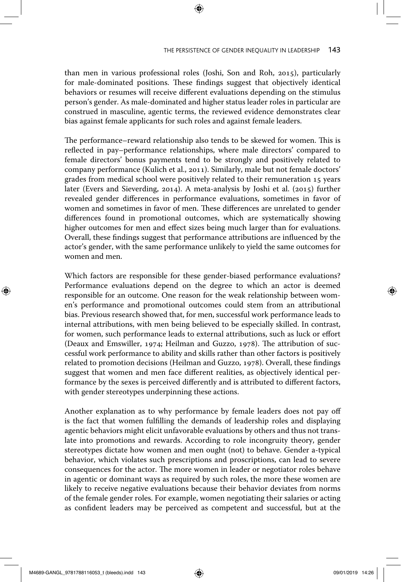than men in various professional roles (Joshi, Son and Roh, 2015), particularly for male-dominated positions. These findings suggest that objectively identical behaviors or resumes will receive different evaluations depending on the stimulus person's gender. As male-dominated and higher status leader roles in particular are construed in masculine, agentic terms, the reviewed evidence demonstrates clear bias against female applicants for such roles and against female leaders.

The performance–reward relationship also tends to be skewed for women. This is reflected in pay–performance relationships, where male directors' compared to female directors' bonus payments tend to be strongly and positively related to company performance (Kulich et al., 2011). Similarly, male but not female doctors' grades from medical school were positively related to their remuneration 15 years later (Evers and Sieverding, 2014). A meta-analysis by Joshi et al. (2015) further revealed gender differences in performance evaluations, sometimes in favor of women and sometimes in favor of men. These differences are unrelated to gender differences found in promotional outcomes, which are systematically showing higher outcomes for men and effect sizes being much larger than for evaluations. Overall, these findings suggest that performance attributions are influenced by the actor's gender, with the same performance unlikely to yield the same outcomes for women and men.

Which factors are responsible for these gender-biased performance evaluations? Performance evaluations depend on the degree to which an actor is deemed responsible for an outcome. One reason for the weak relationship between women's performance and promotional outcomes could stem from an attributional bias. Previous research showed that, for men, successful work performance leads to internal attributions, with men being believed to be especially skilled. In contrast, for women, such performance leads to external attributions, such as luck or effort (Deaux and Emswiller, 1974; Heilman and Guzzo, 1978). The attribution of successful work performance to ability and skills rather than other factors is positively related to promotion decisions (Heilman and Guzzo, 1978). Overall, these findings suggest that women and men face different realities, as objectively identical performance by the sexes is perceived differently and is attributed to different factors, with gender stereotypes underpinning these actions.

Another explanation as to why performance by female leaders does not pay off is the fact that women fulfilling the demands of leadership roles and displaying agentic behaviors might elicit unfavorable evaluations by others and thus not translate into promotions and rewards. According to role incongruity theory, gender stereotypes dictate how women and men ought (not) to behave. Gender a-typical behavior, which violates such prescriptions and proscriptions, can lead to severe consequences for the actor. The more women in leader or negotiator roles behave in agentic or dominant ways as required by such roles, the more these women are likely to receive negative evaluations because their behavior deviates from norms of the female gender roles. For example, women negotiating their salaries or acting as confident leaders may be perceived as competent and successful, but at the

M4689-GANGL\_9781788116053\_t (bleeds).indd 143 **(a)** 09/01/2019 14:26

↔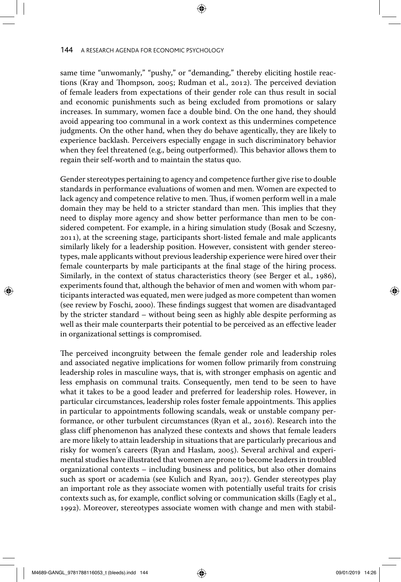same time "unwomanly," "pushy," or "demanding," thereby eliciting hostile reactions (Kray and Thompson, 2005; Rudman et al., 2012). The perceived deviation of female leaders from expectations of their gender role can thus result in social and economic punishments such as being excluded from promotions or salary increases. In summary, women face a double bind. On the one hand, they should avoid appearing too communal in a work context as this undermines competence judgments. On the other hand, when they do behave agentically, they are likely to experience backlash. Perceivers especially engage in such discriminatory behavior when they feel threatened (e.g., being outperformed). This behavior allows them to regain their self-worth and to maintain the status quo.

Gender stereotypes pertaining to agency and competence further give rise to double standards in performance evaluations of women and men. Women are expected to lack agency and competence relative to men. Thus, if women perform well in a male domain they may be held to a stricter standard than men. This implies that they need to display more agency and show better performance than men to be considered competent. For example, in a hiring simulation study (Bosak and Sczesny, 2011), at the screening stage, participants short-listed female and male applicants similarly likely for a leadership position. However, consistent with gender stereotypes, male applicants without previous leadership experience were hired over their female counterparts by male participants at the final stage of the hiring process. Similarly, in the context of status characteristics theory (see Berger et al., 1986), experiments found that, although the behavior of men and women with whom participants interacted was equated, men were judged as more competent than women (see review by Foschi, 2000). These findings suggest that women are disadvantaged by the stricter standard – without being seen as highly able despite performing as well as their male counterparts their potential to be perceived as an effective leader in organizational settings is compromised.

The perceived incongruity between the female gender role and leadership roles and associated negative implications for women follow primarily from construing leadership roles in masculine ways, that is, with stronger emphasis on agentic and less emphasis on communal traits. Consequently, men tend to be seen to have what it takes to be a good leader and preferred for leadership roles. However, in particular circumstances, leadership roles foster female appointments. This applies in particular to appointments following scandals, weak or unstable company performance, or other turbulent circumstances (Ryan et al., 2016). Research into the glass cliff phenomenon has analyzed these contexts and shows that female leaders are more likely to attain leadership in situations that are particularly precarious and risky for women's careers (Ryan and Haslam, 2005). Several archival and experimental studies have illustrated that women are prone to become leaders in troubled organizational contexts – including business and politics, but also other domains such as sport or academia (see Kulich and Ryan, 2017). Gender stereotypes play an important role as they associate women with potentially useful traits for crisis contexts such as, for example, conflict solving or communication skills (Eagly et al., 1992). Moreover, stereotypes associate women with change and men with stabil-

◈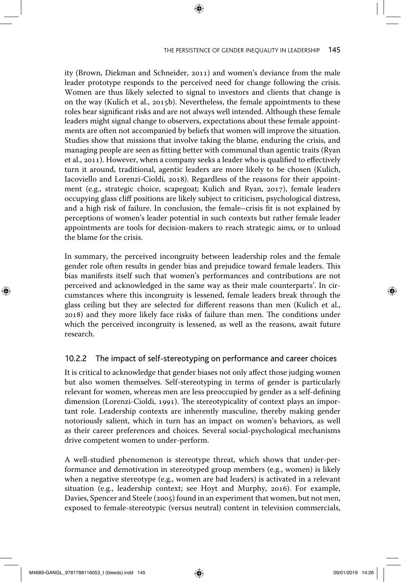## THE PERSISTENCE OF GENDER INEQUALITY IN LEADERSHIP 145

ity (Brown, Diekman and Schneider, 2011) and women's deviance from the male leader prototype responds to the perceived need for change following the crisis. Women are thus likely selected to signal to investors and clients that change is on the way (Kulich et al., 2015b). Nevertheless, the female appointments to these roles bear significant risks and are not always well intended. Although these female leaders might signal change to observers, expectations about these female appointments are often not accompanied by beliefs that women will improve the situation. Studies show that missions that involve taking the blame, enduring the crisis, and managing people are seen as fitting better with communal than agentic traits (Ryan et al., 2011). However, when a company seeks a leader who is qualified to effectively turn it around, traditional, agentic leaders are more likely to be chosen (Kulich, Iacoviello and Lorenzi-Cioldi, 2018). Regardless of the reasons for their appointment (e.g., strategic choice, scapegoat; Kulich and Ryan, 2017), female leaders occupying glass cliff positions are likely subject to criticism, psychological distress, and a high risk of failure. In conclusion, the female–crisis fit is not explained by perceptions of women's leader potential in such contexts but rather female leader appointments are tools for decision-makers to reach strategic aims, or to unload the blame for the crisis.

⊕

In summary, the perceived incongruity between leadership roles and the female gender role often results in gender bias and prejudice toward female leaders. This bias manifests itself such that women's performances and contributions are not perceived and acknowledged in the same way as their male counterparts'. In circumstances where this incongruity is lessened, female leaders break through the glass ceiling but they are selected for different reasons than men (Kulich et al., 2018) and they more likely face risks of failure than men. The conditions under which the perceived incongruity is lessened, as well as the reasons, await future research.

## 10.2.2 The impact of self-stereotyping on performance and career choices

It is critical to acknowledge that gender biases not only affect those judging women but also women themselves. Self-stereotyping in terms of gender is particularly relevant for women, whereas men are less preoccupied by gender as a self-defining dimension (Lorenzi-Cioldi, 1991). The stereotypicality of context plays an important role. Leadership contexts are inherently masculine, thereby making gender notoriously salient, which in turn has an impact on women's behaviors, as well as their career preferences and choices. Several social-psychological mechanisms drive competent women to under-perform.

A well-studied phenomenon is stereotype threat, which shows that under-performance and demotivation in stereotyped group members (e.g., women) is likely when a negative stereotype (e.g., women are bad leaders) is activated in a relevant situation (e.g., leadership context; see Hoyt and Murphy, 2016). For example, Davies, Spencer and Steele (2005) found in an experiment that women, but not men, exposed to female-stereotypic (versus neutral) content in television commercials,

M4689-GANGL\_9781788116053\_t (bleeds).indd 145 09/01/2019 14:26

◈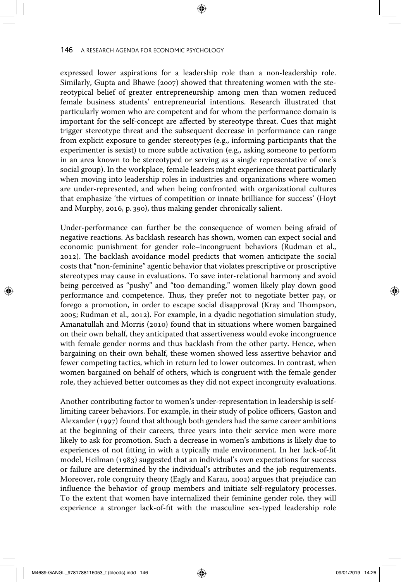expressed lower aspirations for a leadership role than a non-leadership role. Similarly, Gupta and Bhawe (2007) showed that threatening women with the stereotypical belief of greater entrepreneurship among men than women reduced female business students' entrepreneurial intentions. Research illustrated that particularly women who are competent and for whom the performance domain is important for the self-concept are affected by stereotype threat. Cues that might trigger stereotype threat and the subsequent decrease in performance can range from explicit exposure to gender stereotypes (e.g., informing participants that the experimenter is sexist) to more subtle activation (e.g., asking someone to perform in an area known to be stereotyped or serving as a single representative of one's social group). In the workplace, female leaders might experience threat particularly when moving into leadership roles in industries and organizations where women are under-represented, and when being confronted with organizational cultures that emphasize 'the virtues of competition or innate brilliance for success' (Hoyt and Murphy, 2016, p. 390), thus making gender chronically salient.

Under-performance can further be the consequence of women being afraid of negative reactions. As backlash research has shown, women can expect social and economic punishment for gender role–incongruent behaviors (Rudman et al., 2012). The backlash avoidance model predicts that women anticipate the social costs that "non-feminine" agentic behavior that violates prescriptive or proscriptive stereotypes may cause in evaluations. To save inter-relational harmony and avoid being perceived as "pushy" and "too demanding," women likely play down good performance and competence. Thus, they prefer not to negotiate better pay, or forego a promotion, in order to escape social disapproval (Kray and Thompson, 2005; Rudman et al., 2012). For example, in a dyadic negotiation simulation study, Amanatullah and Morris (2010) found that in situations where women bargained on their own behalf, they anticipated that assertiveness would evoke incongruence with female gender norms and thus backlash from the other party. Hence, when bargaining on their own behalf, these women showed less assertive behavior and fewer competing tactics, which in return led to lower outcomes. In contrast, when women bargained on behalf of others, which is congruent with the female gender role, they achieved better outcomes as they did not expect incongruity evaluations.

Another contributing factor to women's under-representation in leadership is selflimiting career behaviors. For example, in their study of police officers, Gaston and Alexander (1997) found that although both genders had the same career ambitions at the beginning of their careers, three years into their service men were more likely to ask for promotion. Such a decrease in women's ambitions is likely due to experiences of not fitting in with a typically male environment. In her lack-of-fit model, Heilman (1983) suggested that an individual's own expectations for success or failure are determined by the individual's attributes and the job requirements. Moreover, role congruity theory (Eagly and Karau, 2002) argues that prejudice can influence the behavior of group members and initiate self-regulatory processes. To the extent that women have internalized their feminine gender role, they will experience a stronger lack-of-fit with the masculine sex-typed leadership role

M4689-GANGL\_9781788116053\_t (bleeds).indd 146 **09/01/2019 14:26** 09/01/2019 14:26

◈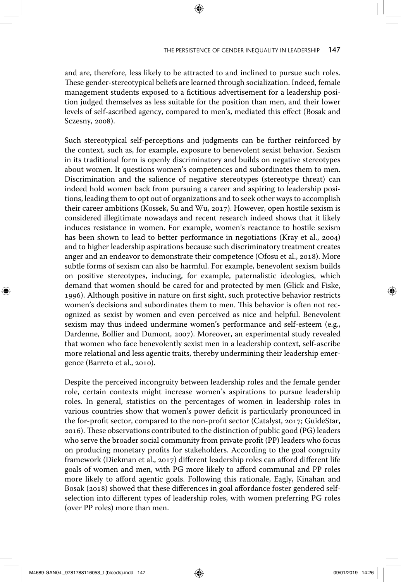and are, therefore, less likely to be attracted to and inclined to pursue such roles. These gender-stereotypical beliefs are learned through socialization. Indeed, female management students exposed to a fictitious advertisement for a leadership position judged themselves as less suitable for the position than men, and their lower levels of self-ascribed agency, compared to men's, mediated this effect (Bosak and Sczesny, 2008).

⊕

Such stereotypical self-perceptions and judgments can be further reinforced by the context, such as, for example, exposure to benevolent sexist behavior. Sexism in its traditional form is openly discriminatory and builds on negative stereotypes about women. It questions women's competences and subordinates them to men. Discrimination and the salience of negative stereotypes (stereotype threat) can indeed hold women back from pursuing a career and aspiring to leadership positions, leading them to opt out of organizations and to seek other ways to accomplish their career ambitions (Kossek, Su and Wu, 2017). However, open hostile sexism is considered illegitimate nowadays and recent research indeed shows that it likely induces resistance in women. For example, women's reactance to hostile sexism has been shown to lead to better performance in negotiations (Kray et al., 2004) and to higher leadership aspirations because such discriminatory treatment creates anger and an endeavor to demonstrate their competence (Ofosu et al., 2018). More subtle forms of sexism can also be harmful. For example, benevolent sexism builds on positive stereotypes, inducing, for example, paternalistic ideologies, which demand that women should be cared for and protected by men (Glick and Fiske, 1996). Although positive in nature on first sight, such protective behavior restricts women's decisions and subordinates them to men. This behavior is often not recognized as sexist by women and even perceived as nice and helpful. Benevolent sexism may thus indeed undermine women's performance and self-esteem (e.g., Dardenne, Bollier and Dumont, 2007). Moreover, an experimental study revealed that women who face benevolently sexist men in a leadership context, self-ascribe more relational and less agentic traits, thereby undermining their leadership emergence (Barreto et al., 2010).

Despite the perceived incongruity between leadership roles and the female gender role, certain contexts might increase women's aspirations to pursue leadership roles. In general, statistics on the percentages of women in leadership roles in various countries show that women's power deficit is particularly pronounced in the for-profit sector, compared to the non-profit sector (Catalyst, 2017; GuideStar, 2016). These observations contributed to the distinction of public good (PG) leaders who serve the broader social community from private profit (PP) leaders who focus on producing monetary profits for stakeholders. According to the goal congruity framework (Diekman et al., 2017) different leadership roles can afford different life goals of women and men, with PG more likely to afford communal and PP roles more likely to afford agentic goals. Following this rationale, Eagly, Kinahan and Bosak (2018) showed that these differences in goal affordance foster gendered selfselection into different types of leadership roles, with women preferring PG roles (over PP roles) more than men.

↔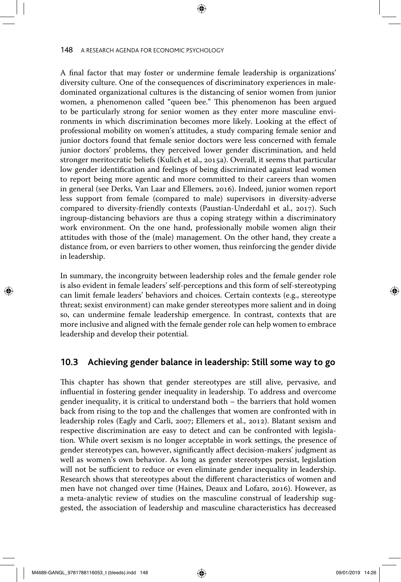A final factor that may foster or undermine female leadership is organizations' diversity culture. One of the consequences of discriminatory experiences in maledominated organizational cultures is the distancing of senior women from junior women, a phenomenon called "queen bee." This phenomenon has been argued to be particularly strong for senior women as they enter more masculine environments in which discrimination becomes more likely. Looking at the effect of professional mobility on women's attitudes, a study comparing female senior and junior doctors found that female senior doctors were less concerned with female junior doctors' problems, they perceived lower gender discrimination, and held stronger meritocratic beliefs (Kulich et al., 2015a). Overall, it seems that particular low gender identification and feelings of being discriminated against lead women to report being more agentic and more committed to their careers than women in general (see Derks, Van Laar and Ellemers, 2016). Indeed, junior women report less support from female (compared to male) supervisors in diversity-adverse compared to diversity-friendly contexts (Paustian-Underdahl et al., 2017). Such ingroup-distancing behaviors are thus a coping strategy within a discriminatory work environment. On the one hand, professionally mobile women align their attitudes with those of the (male) management. On the other hand, they create a distance from, or even barriers to other women, thus reinforcing the gender divide in leadership.

In summary, the incongruity between leadership roles and the female gender role is also evident in female leaders' self-perceptions and this form of self-stereotyping can limit female leaders' behaviors and choices. Certain contexts (e.g., stereotype threat; sexist environment) can make gender stereotypes more salient and in doing so, can undermine female leadership emergence. In contrast, contexts that are more inclusive and aligned with the female gender role can help women to embrace leadership and develop their potential.

## **10.3 Achieving gender balance in leadership: Still some way to go**

This chapter has shown that gender stereotypes are still alive, pervasive, and influential in fostering gender inequality in leadership. To address and overcome gender inequality, it is critical to understand both – the barriers that hold women back from rising to the top and the challenges that women are confronted with in leadership roles (Eagly and Carli, 2007; Ellemers et al., 2012). Blatant sexism and respective discrimination are easy to detect and can be confronted with legislation. While overt sexism is no longer acceptable in work settings, the presence of gender stereotypes can, however, significantly affect decision-makers' judgment as well as women's own behavior. As long as gender stereotypes persist, legislation will not be sufficient to reduce or even eliminate gender inequality in leadership. Research shows that stereotypes about the different characteristics of women and men have not changed over time (Haines, Deaux and Lofaro, 2016). However, as a meta-analytic review of studies on the masculine construal of leadership suggested, the association of leadership and masculine characteristics has decreased

M4689-GANGL\_9781788116053\_t (bleeds).indd 148 **09/01/2019 14:26** 09/01/2019 14:26

◈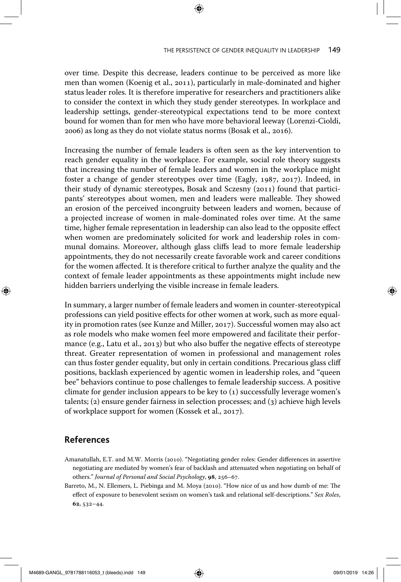over time. Despite this decrease, leaders continue to be perceived as more like men than women (Koenig et al., 2011), particularly in male-dominated and higher status leader roles. It is therefore imperative for researchers and practitioners alike to consider the context in which they study gender stereotypes. In workplace and leadership settings, gender-stereotypical expectations tend to be more context bound for women than for men who have more behavioral leeway (Lorenzi-Cioldi, 2006) as long as they do not violate status norms (Bosak et al., 2016).

Increasing the number of female leaders is often seen as the key intervention to reach gender equality in the workplace. For example, social role theory suggests that increasing the number of female leaders and women in the workplace might foster a change of gender stereotypes over time (Eagly, 1987, 2017). Indeed, in their study of dynamic stereotypes, Bosak and Sczesny (2011) found that participants' stereotypes about women, men and leaders were malleable. They showed an erosion of the perceived incongruity between leaders and women, because of a projected increase of women in male-dominated roles over time. At the same time, higher female representation in leadership can also lead to the opposite effect when women are predominately solicited for work and leadership roles in communal domains. Moreover, although glass cliffs lead to more female leadership appointments, they do not necessarily create favorable work and career conditions for the women affected. It is therefore critical to further analyze the quality and the context of female leader appointments as these appointments might include new hidden barriers underlying the visible increase in female leaders.

In summary, a larger number of female leaders and women in counter-stereotypical professions can yield positive effects for other women at work, such as more equality in promotion rates (see Kunze and Miller, 2017). Successful women may also act as role models who make women feel more empowered and facilitate their performance (e.g., Latu et al., 2013) but who also buffer the negative effects of stereotype threat. Greater representation of women in professional and management roles can thus foster gender equality, but only in certain conditions. Precarious glass cliff positions, backlash experienced by agentic women in leadership roles, and "queen bee" behaviors continue to pose challenges to female leadership success. A positive climate for gender inclusion appears to be key to (1) successfully leverage women's talents; (2) ensure gender fairness in selection processes; and (3) achieve high levels of workplace support for women (Kossek et al., 2017).

# **References**

◈

- Amanatullah, E.T. and M.W. Morris (2010). "Negotiating gender roles: Gender differences in assertive negotiating are mediated by women's fear of backlash and attenuated when negotiating on behalf of others." *Journal of Personal and Social Psychology*, **98**, 256–67.
- Barreto, M., N. Ellemers, L. Piebinga and M. Moya (2010). "How nice of us and how dumb of me: The effect of exposure to benevolent sexism on women's task and relational self-descriptions." *Sex Roles*, **62**, 532–44.

M4689-GANGL\_9781788116053\_t (bleeds).indd 149 09/01/2019 14:26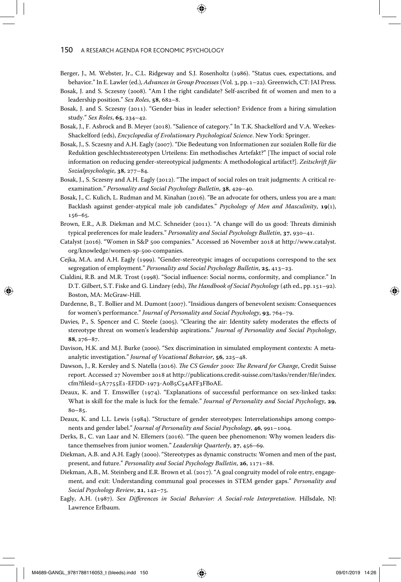- Berger, J., M. Webster, Jr., C.L. Ridgeway and S.J. Rosenholtz (1986). "Status cues, expectations, and behavior." In E. Lawler (ed.), *Advances in Group Processes* (Vol. 3, pp.1–22). Greenwich, CT: JAI Press.
- Bosak, J. and S. Sczesny (2008). "Am I the right candidate? Self-ascribed fit of women and men to a leadership position." *Sex Roles*, **58**, 682–8.
- Bosak, J. and S. Sczesny (2011). "Gender bias in leader selection? Evidence from a hiring simulation study." *Sex Roles*, **65**, 234–42.
- Bosak, J., F. Asbrock and B. Meyer (2018). "Salience of category." In T.K. Shackelford and V.A. Weekes-Shackelford (eds), *Encyclopedia of Evolutionary Psychological Science*. New York: Springer.
- Bosak, J., S. Sczesny and A.H. Eagly (2007). "Die Bedeutung von Informationen zur sozialen Rolle für die Reduktion geschlechtsstereotypen Urteilens: Ein methodisches Artefakt?" [The impact of social role information on reducing gender-stereotypical judgments: A methodological artifact?]. *Zeitschrift für Sozialpsychologie*, **38**, 277–84.
- Bosak, J., S. Sczesny and A.H. Eagly (2012). "The impact of social roles on trait judgments: A critical reexamination." *Personality and Social Psychology Bulletin*, **38**, 429–40.
- Bosak, J., C. Kulich, L. Rudman and M. Kinahan (2016). "Be an advocate for others, unless you are a man: Backlash against gender-atypical male job candidates." *Psychology of Men and Masculinity*, **19**(1), 156–65.
- Brown, E.R., A.B. Diekman and M.C. Schneider (2011). "A change will do us good: Threats diminish typical preferences for male leaders." *Personality and Social Psychology Bulletin*, **37**, 930–41.
- Catalyst (2016). "Women in S&P 500 companies." Accessed 26 November 2018 at http://www.catalyst. org/knowledge/women-sp-500-companies.
- Cejka, M.A. and A.H. Eagly (1999). "Gender-stereotypic images of occupations correspond to the sex segregation of employment." *Personality and Social Psychology Bulletin*, **25**, 413–23.
- Cialdini, R.B. and M.R. Trost (1998). "Social influence: Social norms, conformity, and compliance." In D.T. Gilbert, S.T. Fiske and G. Lindzey (eds), *The Handbook of Social Psychology* (4th ed., pp. 151–92). Boston, MA: McGraw-Hill.
- Dardenne, B., T. Bollier and M. Dumont (2007). "Insidious dangers of benevolent sexism: Consequences for women's performance." *Journal of Personality and Social Psychology*, **93**, 764–79.
- Davies, P., S. Spencer and C. Steele (2005). "Clearing the air: Identity safety moderates the effects of stereotype threat on women's leadership aspirations." *Journal of Personality and Social Psychology*, **88**, 276–87.
- Davison, H.K. and M.J. Burke (2000). "Sex discrimination in simulated employment contexts: A metaanalytic investigation." *Journal of Vocational Behavior*, **56**, 225–48.
- Dawson, J., R. Kersley and S. Natella (2016). *The CS Gender 3000: The Reward for Change*, Credit Suisse report. Accessed 27 November 2018 at http://publications.credit-suisse.com/tasks/render/file/index. cfm?fileid=5A7755E1-EFDD-1973-A0B5C54AFF3FB0AE.
- Deaux, K. and T. Emswiller (1974). "Explanations of successful performance on sex-linked tasks: What is skill for the male is luck for the female." *Journal of Personality and Social Psychology*, **29**,  $80 - 85.$
- Deaux, K. and L.L. Lewis (1984). "Structure of gender stereotypes: Interrelationships among components and gender label." *Journal of Personality and Social Psychology*, **46**, 991–1004.
- Derks, B., C. van Laar and N. Ellemers (2016). "The queen bee phenomenon: Why women leaders distance themselves from junior women." *Leadership Quarterly*, **27**, 456–69.
- Diekman, A.B. and A.H. Eagly (2000). "Stereotypes as dynamic constructs: Women and men of the past, present, and future." *Personality and Social Psychology Bulletin*, **26**, 1171–88.
- Diekman, A.B., M. Steinberg and E.R. Brown et al. (2017). "A goal congruity model of role entry, engagement, and exit: Understanding communal goal processes in STEM gender gaps." *Personality and Social Psychology Review*, **21**, 142–75.
- Eagly, A.H. (1987). *Sex Differences in Social Behavior: A Social-role Interpretation*. Hillsdale, NJ: Lawrence Erlbaum.

M4689-GANGL\_9781788116053\_t (bleeds).indd 150 **(C)** 09/01/2019 14:26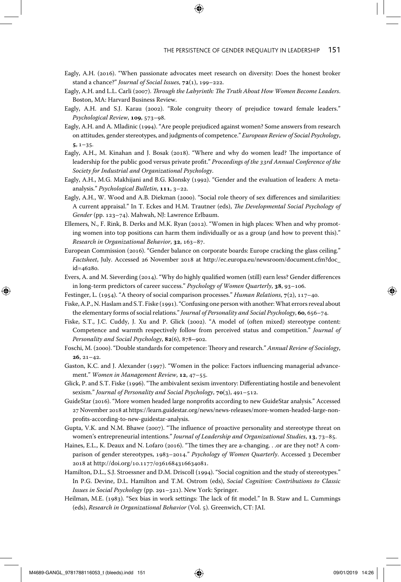- Eagly, A.H. (2016). "When passionate advocates meet research on diversity: Does the honest broker stand a chance?" *Journal of Social Issues*, **72**(1), 199–222.
- Eagly, A.H. and L.L. Carli (2007). *Through the Labyrinth: The Truth About How Women Become Leaders*. Boston, MA: Harvard Business Review.
- Eagly, A.H. and S.J. Karau (2002). "Role congruity theory of prejudice toward female leaders." *Psychological Review*, **109**, 573–98.
- Eagly, A.H. and A. Mladinic (1994). "Are people prejudiced against women? Some answers from research on attitudes, gender stereotypes, and judgments of competence." *European Review of Social Psychology*, **5**, 1–35.
- Eagly, A.H., M. Kinahan and J. Bosak (2018). "Where and why do women lead? The importance of leadership for the public good versus private profit." *Proceedings of the 33rd Annual Conference of the Society for Industrial and Organizational Psychology*.
- Eagly, A.H., M.G. Makhijani and B.G. Klonsky (1992). "Gender and the evaluation of leaders: A metaanalysis." *Psychological Bulletin*, **111**, 3–22.
- Eagly, A.H., W. Wood and A.B. Diekman (2000). "Social role theory of sex differences and similarities: A current appraisal." In T. Eckes and H.M. Trautner (eds), *The Developmental Social Psychology of Gender* (pp. 123–74). Mahwah, NJ: Lawrence Erlbaum.
- Ellemers, N., F. Rink, B. Derks and M.K. Ryan (2012). "Women in high places: When and why promoting women into top positions can harm them individually or as a group (and how to prevent this)." *Research in Organizational Behavior*, **32**, 163–87.
- European Commission (2016). "Gender balance on corporate boards: Europe cracking the glass ceiling." *Factsheet*, July. Accessed 26 November 2018 at http://ec.europa.eu/newsroom/document.cfm?doc\_ id=46280.
- Evers, A. and M. Sieverding (2014). "Why do highly qualified women (still) earn less? Gender differences in long-term predictors of career success." *Psychology of Women Quarterly*, **38**, 93–106.
- Festinger, L. (1954). "A theory of social comparison processes." *Human Relations*, **7**(2), 117–40.
- Fiske, A.P., N. Haslam and S.T. Fiske (1991). "Confusing one person with another: What errors reveal about the elementary forms of social relations." *Journal of Personality and Social Psychology*, **60**, 656–74.
- Fiske, S.T., J.C. Cuddy, J. Xu and P. Glick (2002). "A model of (often mixed) stereotype content: Competence and warmth respectively follow from perceived status and competition." *Journal of Personality and Social Psychology*, **82**(6), 878–902.
- Foschi, M. (2000). "Double standards for competence: Theory and research." *Annual Review of Sociology*, **26**, 21–42.
- Gaston, K.C. and J. Alexander (1997). "Women in the police: Factors influencing managerial advancement." *Women in Management Review*, **12**, 47–55.
- Glick, P. and S.T. Fiske (1996). "The ambivalent sexism inventory: Differentiating hostile and benevolent sexism." *Journal of Personality and Social Psychology*, **70**(3), 491–512.
- GuideStar (2016). "More women headed large nonprofits according to new GuideStar analysis." Accessed 27 November 2018 at https://learn.guidestar.org/news/news-releases/more-women-headed-large-nonprofits-according-to-new-guidestar-analysis.
- Gupta, V.K. and N.M. Bhawe (2007). "The influence of proactive personality and stereotype threat on women's entrepreneurial intentions." *Journal of Leadership and Organizational Studies*, **13**, 73–85.
- Haines, E.L., K. Deaux and N. Lofaro (2016). "The times they are a-changing. . .or are they not? A comparison of gender stereotypes, 1983–2014." *Psychology of Women Quarterly*. Accessed 3 December 2018 at http://doi.org/10.1177/0361684316634081.
- Hamilton, D.L., S.J. Stroessner and D.M. Driscoll (1994). "Social cognition and the study of stereotypes." In P.G. Devine, D.L. Hamilton and T.M. Ostrom (eds), *Social Cognition: Contributions to Classic Issues in Social Psychology* (pp. 291–321). New York: Springer.
- Heilman, M.E. (1983). "Sex bias in work settings: The lack of fit model." In B. Staw and L. Cummings (eds), *Research in Organizational Behavior* (Vol. 5). Greenwich, CT: JAI.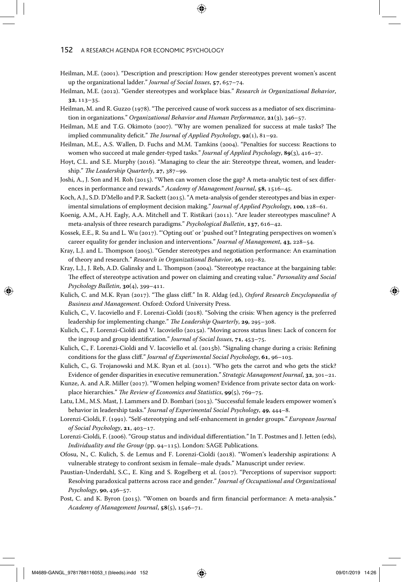- Heilman, M.E. (2001). "Description and prescription: How gender stereotypes prevent women's ascent up the organizational ladder." *Journal of Social Issues*, **57**, 657–74.
- Heilman, M.E. (2012). "Gender stereotypes and workplace bias." *Research in Organizational Behavior*, **32**, 113–35.
- Heilman, M. and R. Guzzo (1978). "The perceived cause of work success as a mediator of sex discrimination in organizations." *Organizational Behavior and Human Performance*, **21**(3), 346–57.
- Heilman, M.E and T.G. Okimoto (2007). "Why are women penalized for success at male tasks? The implied communality deficit." *The Journal of Applied Psychology*, **92**(1), 81–92.
- Heilman, M.E., A.S. Wallen, D. Fuchs and M.M. Tamkins (2004). "Penalties for success: Reactions to women who succeed at male gender-typed tasks." *Journal of Applied Psychology*, **89**(3), 416–27.
- Hoyt, C.L. and S.E. Murphy (2016). "Managing to clear the air: Stereotype threat, women, and leadership." *The Leadership Quarterly*, **27**, 387–99.
- Joshi, A., J. Son and H. Roh (2015). "When can women close the gap? A meta-analytic test of sex differences in performance and rewards." *Academy of Management Journal*, **58**, 1516–45.
- Koch, A.J., S.D. D'Mello and P.R. Sackett (2015). "A meta-analysis of gender stereotypes and bias in experimental simulations of employment decision making." *Journal of Applied Psychology*, **100**, 128–61.
- Koenig, A.M., A.H. Eagly, A.A. Mitchell and T. Ristikari (2011). "Are leader stereotypes masculine? A meta-analysis of three research paradigms." *Psychological Bulletin*, **137**, 616–42.
- Kossek, E.E., R. Su and L. Wu (2017). "'Opting out' or 'pushed out'? Integrating perspectives on women's career equality for gender inclusion and interventions." *Journal of Management*, **43**, 228–54.
- Kray, L.J. and L. Thompson (2005). "Gender stereotypes and negotiation performance: An examination of theory and research." *Research in Organizational Behavior*, **26**, 103–82.
- Kray, L.J., J. Reb, A.D. Galinsky and L. Thompson (2004). "Stereotype reactance at the bargaining table: The effect of stereotype activation and power on claiming and creating value." *Personality and Social Psychology Bulletin*, **30**(4), 399–411.
- Kulich, C. and M.K. Ryan (2017). "The glass cliff." In R. Aldag (ed.), *Oxford Research Encyclopaedia of Business and Management*. Oxford: Oxford University Press.
- Kulich, C., V. Iacoviello and F. Lorenzi-Cioldi (2018). "Solving the crisis: When agency is the preferred leadership for implementing change." *The Leadership Quarterly*, **29**, 295–308.
- Kulich, C., F. Lorenzi-Cioldi and V. Iacoviello (2015a). "Moving across status lines: Lack of concern for the ingroup and group identification." *Journal of Social Issues*, **71**, 453–75.
- Kulich, C., F. Lorenzi-Cioldi and V. Iacoviello et al. (2015b). "Signaling change during a crisis: Refining conditions for the glass cliff." *Journal of Experimental Social Psychology*, **61**, 96–103.
- Kulich, C., G. Trojanowski and M.K. Ryan et al. (2011). "Who gets the carrot and who gets the stick? Evidence of gender disparities in executive remuneration." *Strategic Management Journal*, **32**, 301–21.
- Kunze, A. and A.R. Miller (2017). "Women helping women? Evidence from private sector data on workplace hierarchies." *The Review of Economics and Statistics*, **99**(5), 769–75.
- Latu, I.M., M.S. Mast, J. Lammers and D. Bombari (2013). "Successful female leaders empower women's behavior in leadership tasks." *Journal of Experimental Social Psychology*, **49**, 444–8.
- Lorenzi-Cioldi, F. (1991). "Self-stereotyping and self-enhancement in gender groups." *European Journal of Social Psychology*, **21**, 403–17.
- Lorenzi-Cioldi, F. (2006). "Group status and individual differentiation." In T. Postmes and J. Jetten (eds), *Individuality and the Group* (pp. 94–115). London: SAGE Publications.
- Ofosu, N., C. Kulich, S. de Lemus and F. Lorenzi-Cioldi (2018). "Women's leadership aspirations: A vulnerable strategy to confront sexism in female–male dyads." Manuscript under review.
- Paustian-Underdahl, S.C., E. King and S. Rogelberg et al. (2017). "Perceptions of supervisor support: Resolving paradoxical patterns across race and gender." *Journal of Occupational and Organizational Psychology*, **90**, 436–57.
- Post, C. and K. Byron (2015). "Women on boards and firm financial performance: A meta-analysis." *Academy of Management Journal*, **58**(5), 1546–71.

M4689-GANGL\_9781788116053\_t (bleeds).indd 152 (← ) and control on the control on the control on the control of the control on the control on the control on the control on the control on the control on the control on the c